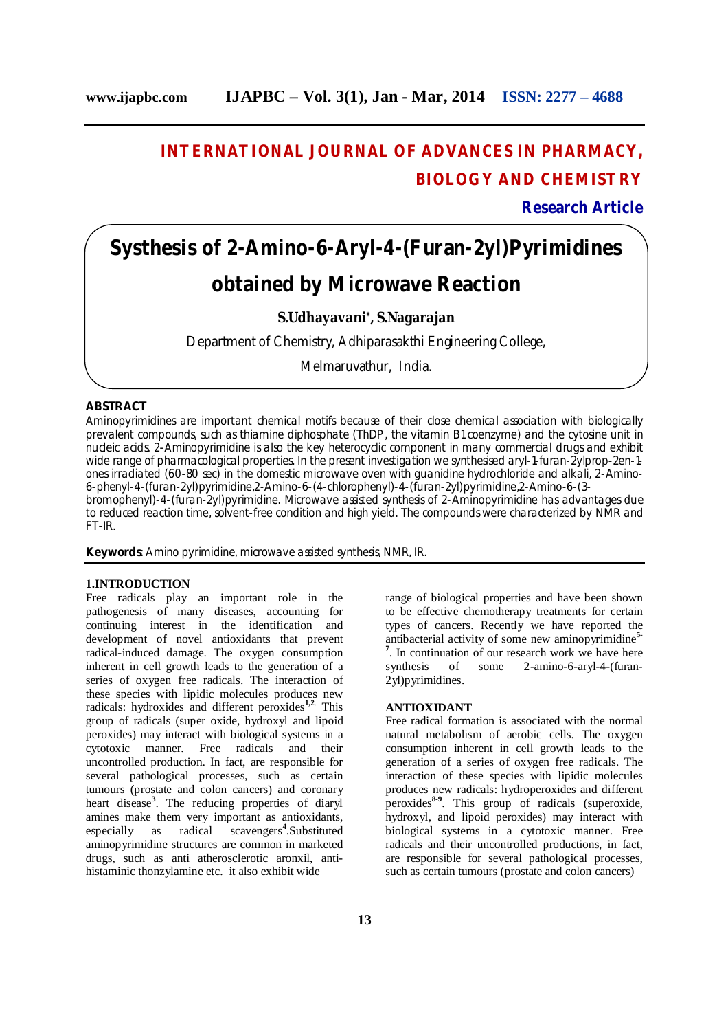## **INTERNATIONAL JOURNAL OF ADVANCES IN PHARMACY, BIOLOGY AND CHEMISTRY**

**Research Article**

# **Systhesis of 2-Amino-6-Aryl-4-(Furan-2yl)Pyrimidines obtained by Microwave Reaction**

**S.Udhayavani\* , S.Nagarajan**

Department of Chemistry, Adhiparasakthi Engineering College,

Melmaruvathur, India.

## **ABSTRACT**

Aminopyrimidines are important chemical motifs because of their close chemical association with biologically prevalent compounds, such as thiamine diphosphate (ThDP, the vitamin B1 coenzyme) and the cytosine unit in nucleic acids. 2-Aminopyrimidine is also the key heterocyclic component in many commercial drugs and exhibit wide range of pharmacological properties. In the present investigation we synthesised aryl-1-furan-2ylprop-2en-1 ones irradiated (60-80 sec) in the domestic microwave oven with guanidine hydrochloride and alkali, 2-Amino-6-phenyl-4-(furan-2yl)pyrimidine,2-Amino-6-(4-chlorophenyl)-4-(furan-2yl)pyrimidine,2-Amino-6-(3 bromophenyl)-4-(furan-2yl)pyrimidine. Microwave assisted synthesis of 2-Aminopyrimidine has advantages due

to reduced reaction time, solvent-free condition and high yield. The compounds were characterized by NMR and FT-IR.

**Keywords**: Amino pyrimidine, microwave assisted synthesis, NMR, IR.

## **1.INTRODUCTION**

Free radicals play an important role in the pathogenesis of many diseases, accounting for continuing interest in the identification and development of novel antioxidants that prevent radical-induced damage. The oxygen consumption inherent in cell growth leads to the generation of a series of oxygen free radicals. The interaction of these species with lipidic molecules produces new radicals: hydroxides and different peroxides<sup>1,2.</sup> This group of radicals (super oxide, hydroxyl and lipoid peroxides) may interact with biological systems in a cytotoxic manner. Free radicals and their uncontrolled production. In fact, are responsible for several pathological processes, such as certain tumours (prostate and colon cancers) and coronary heart disease**<sup>3</sup>** . The reducing properties of diaryl amines make them very important as antioxidants, especially as radical scavengers**<sup>4</sup>** .Substituted aminopyrimidine structures are common in marketed drugs, such as anti atherosclerotic aronxil, antihistaminic thonzylamine etc. it also exhibit wide

range of biological properties and have been shown to be effective chemotherapy treatments for certain types of cancers. Recently we have reported the antibacterial activity of some new aminopyrimidine**5- 7** . In continuation of our research work we have here synthesis of some 2-amino-6-aryl-4-(furan-2yl)pyrimidines.

#### **ANTIOXIDANT**

Free radical formation is associated with the normal natural metabolism of aerobic cells. The oxygen consumption inherent in cell growth leads to the generation of a series of oxygen free radicals. The interaction of these species with lipidic molecules produces new radicals: hydroperoxides and different peroxides<sup>8-9</sup>. This group of radicals (superoxide, hydroxyl, and lipoid peroxides) may interact with biological systems in a cytotoxic manner. Free radicals and their uncontrolled productions, in fact, are responsible for several pathological processes, such as certain tumours (prostate and colon cancers)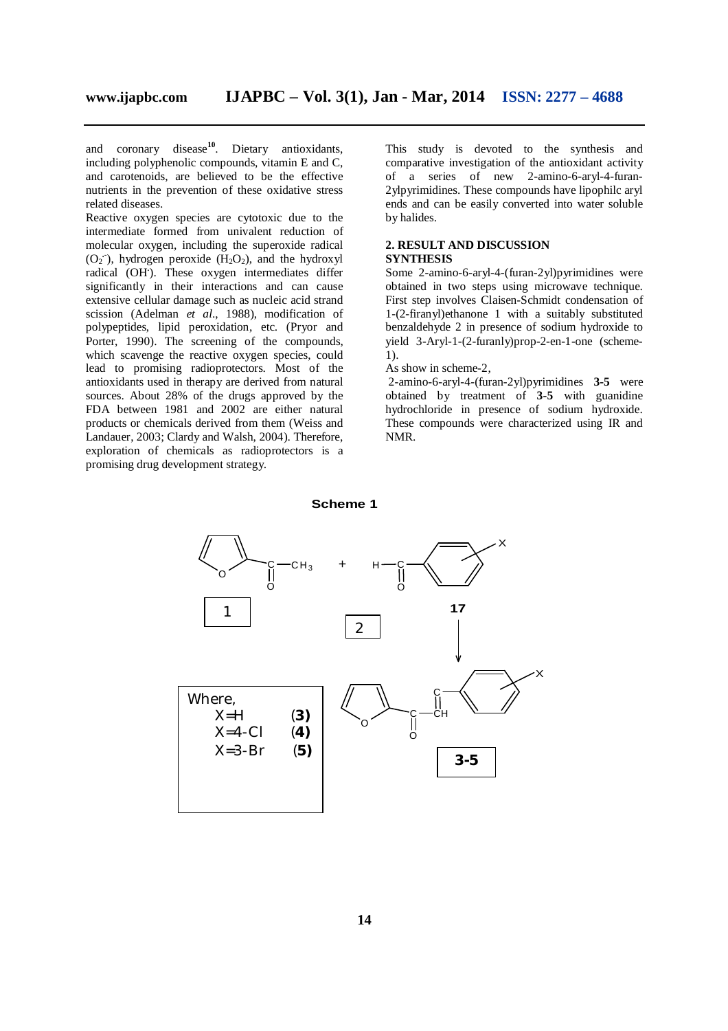and coronary disease**<sup>10</sup>**. Dietary antioxidants, including polyphenolic compounds, vitamin E and C, and carotenoids, are believed to be the effective nutrients in the prevention of these oxidative stress related diseases.

Reactive oxygen species are cytotoxic due to the intermediate formed from univalent reduction of molecular oxygen, including the superoxide radical  $(O_2$ <sup> $\cdot$ </sup>), hydrogen peroxide  $(H_2O_2)$ , and the hydroxyl radical (OH**.** ). These oxygen intermediates differ significantly in their interactions and can cause extensive cellular damage such as nucleic acid strand scission (Adelman *et al*., 1988), modification of polypeptides, lipid peroxidation, etc. (Pryor and Porter, 1990). The screening of the compounds, which scavenge the reactive oxygen species, could lead to promising radioprotectors. Most of the antioxidants used in therapy are derived from natural sources. About 28% of the drugs approved by the FDA between 1981 and 2002 are either natural products or chemicals derived from them (Weiss and Landauer, 2003; Clardy and Walsh, 2004). Therefore, exploration of chemicals as radioprotectors is a promising drug development strategy.

This study is devoted to the synthesis and comparative investigation of the antioxidant activity of a series of new 2-amino-6-aryl-4-furan-2ylpyrimidines. These compounds have lipophilc aryl ends and can be easily converted into water soluble by halides.

## **2. RESULT AND DISCUSSION SYNTHESIS**

Some 2-amino-6-aryl-4-(furan-2yl)pyrimidines were obtained in two steps using microwave technique. First step involves Claisen-Schmidt condensation of 1-(2-firanyl)ethanone 1 with a suitably substituted benzaldehyde 2 in presence of sodium hydroxide to yield 3-Aryl-1-(2-furanly)prop-2-en-1-one (scheme-1).

#### As show in scheme-2,

2-amino-6-aryl-4-(furan-2yl)pyrimidines **3-5** were obtained by treatment of **3-5** with guanidine hydrochloride in presence of sodium hydroxide. These compounds were characterized using IR and NMR.



#### **Scheme 1**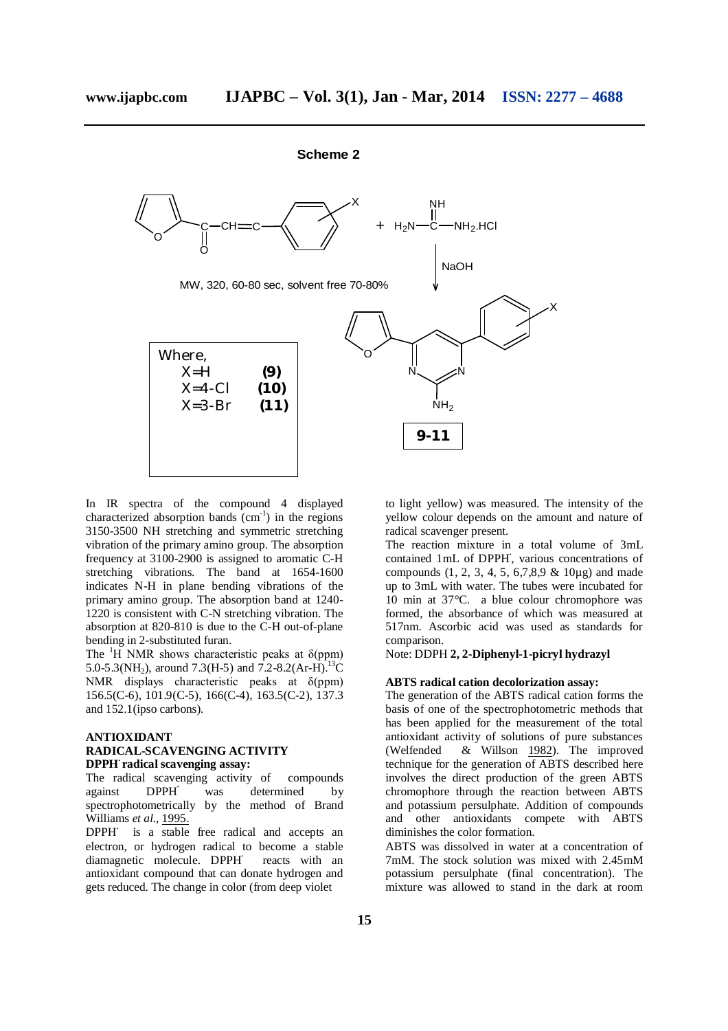

In IR spectra of the compound 4 displayed characterized absorption bands  $(cm<sup>-1</sup>)$  in the regions 3150-3500 NH stretching and symmetric stretching vibration of the primary amino group. The absorption frequency at 3100-2900 is assigned to aromatic C-H stretching vibrations. The band at 1654-1600 indicates N-H in plane bending vibrations of the primary amino group. The absorption band at 1240- 1220 is consistent with C-N stretching vibration. The absorption at 820-810 is due to the C-H out-of-plane bending in 2-substituted furan.

The  ${}^{1}H$  NMR shows characteristic peaks at  $\delta$ (ppm) 5.0-5.3(NH<sub>2</sub>), around 7.3(H-5) and 7.2-8.2(Ar-H).<sup>13</sup>C NMR displays characteristic peaks at δ(ppm) 156.5(C-6), 101.9(C-5), 166(C-4), 163.5(C-2), 137.3 and 152.1(ipso carbons).

## **ANTIOXIDANT RADICAL-SCAVENGING ACTIVITY DPPH<sup>∙</sup>radical scavenging assay:**

The radical scavenging activity of compounds against DPPH**<sup>∙</sup>**was determined by spectrophotometrically by the method of Brand Williams *et al.,* 1995.

DPPH is a stable free radical and accepts an electron, or hydrogen radical to become a stable diamagnetic molecule. DPPH**<sup>∙</sup>**reacts with an antioxidant compound that can donate hydrogen and gets reduced. The change in color (from deep violet

to light yellow) was measured. The intensity of the yellow colour depends on the amount and nature of radical scavenger present.

The reaction mixture in a total volume of 3mL contained 1mL of DPPH**<sup>∙</sup>** , various concentrations of compounds  $(1, 2, 3, 4, 5, 6, 7, 8, 9 \& 10\mu\text{g})$  and made up to 3mL with water. The tubes were incubated for 10 min at 37°C. a blue colour chromophore was formed, the absorbance of which was measured at 517nm. Ascorbic acid was used as standards for comparison.

## Note: DDPH **2, 2-Diphenyl-1-picryl hydrazyl**

#### **ABTS radical cation decolorization assay:**

The generation of the ABTS radical cation forms the basis of one of the spectrophotometric methods that has been applied for the measurement of the total antioxidant activity of solutions of pure substances (Welfended & Willson 1982). The improved technique for the generation of ABTS described here involves the direct production of the green ABTS chromophore through the reaction between ABTS and potassium persulphate. Addition of compounds and other antioxidants compete with ABTS diminishes the color formation.

ABTS was dissolved in water at a concentration of 7mM. The stock solution was mixed with 2.45mM potassium persulphate (final concentration). The mixture was allowed to stand in the dark at room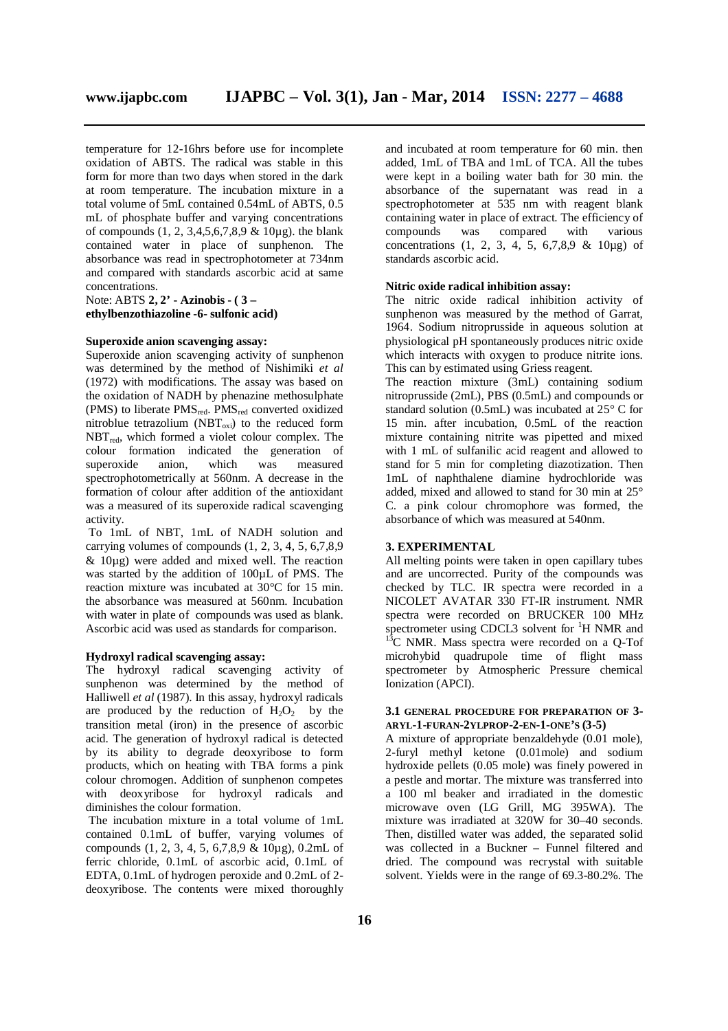temperature for 12-16hrs before use for incomplete oxidation of ABTS. The radical was stable in this form for more than two days when stored in the dark at room temperature. The incubation mixture in a total volume of 5mL contained 0.54mL of ABTS, 0.5

mL of phosphate buffer and varying concentrations of compounds (1, 2, 3,4,5,6,7,8,9 & 10µg). the blank contained water in place of sunphenon. The absorbance was read in spectrophotometer at 734nm and compared with standards ascorbic acid at same concentrations.

Note: ABTS **2, 2' - Azinobis - ( 3 – ethylbenzothiazoline -6- sulfonic acid)**

## **Superoxide anion scavenging assay:**

Superoxide anion scavenging activity of sunphenon was determined by the method of Nishimiki *et al*  (1972) with modifications. The assay was based on the oxidation of NADH by phenazine methosulphate (PMS) to liberate PMS<sub>red</sub>. PMS<sub>red</sub> converted oxidized nitroblue tetrazolium (NBT $_{oxi}$ ) to the reduced form  $NBT_{red}$ , which formed a violet colour complex. The colour formation indicated the generation of superoxide anion. which was measured superoxide anion, which was measured spectrophotometrically at 560nm. A decrease in the formation of colour after addition of the antioxidant was a measured of its superoxide radical scavenging activity.

To 1mL of NBT, 1mL of NADH solution and carrying volumes of compounds (1, 2, 3, 4, 5, 6,7,8,9 & 10µg) were added and mixed well. The reaction was started by the addition of 100µL of PMS. The reaction mixture was incubated at 30°C for 15 min. the absorbance was measured at 560nm. Incubation with water in plate of compounds was used as blank. Ascorbic acid was used as standards for comparison.

#### **Hydroxyl radical scavenging assay:**

The hydroxyl radical scavenging activity of sunphenon was determined by the method of Halliwell *et al* (1987). In this assay, hydroxyl radicals are produced by the reduction of  $H_2O_2$  by the transition metal (iron) in the presence of ascorbic acid. The generation of hydroxyl radical is detected by its ability to degrade deoxyribose to form products, which on heating with TBA forms a pink colour chromogen. Addition of sunphenon competes with deoxyribose for hydroxyl radicals and diminishes the colour formation.

The incubation mixture in a total volume of 1mL contained 0.1mL of buffer, varying volumes of compounds (1, 2, 3, 4, 5, 6,7,8,9 & 10µg), 0.2mL of ferric chloride, 0.1mL of ascorbic acid, 0.1mL of EDTA, 0.1mL of hydrogen peroxide and 0.2mL of 2 deoxyribose. The contents were mixed thoroughly

and incubated at room temperature for 60 min. then added, 1mL of TBA and 1mL of TCA. All the tubes were kept in a boiling water bath for 30 min. the absorbance of the supernatant was read in a spectrophotometer at 535 nm with reagent blank containing water in place of extract. The efficiency of<br>compounds was compared with various was compared with various concentrations  $(1, 2, 3, 4, 5, 6, 7, 8, 9 \& 10\mu\text{g})$  of standards ascorbic acid.

#### **Nitric oxide radical inhibition assay:**

The nitric oxide radical inhibition activity of sunphenon was measured by the method of Garrat, 1964. Sodium nitroprusside in aqueous solution at physiological pH spontaneously produces nitric oxide which interacts with oxygen to produce nitrite ions. This can by estimated using Griess reagent.

The reaction mixture (3mL) containing sodium nitroprusside (2mL), PBS (0.5mL) and compounds or standard solution (0.5mL) was incubated at 25° C for 15 min. after incubation, 0.5mL of the reaction mixture containing nitrite was pipetted and mixed with 1 mL of sulfanilic acid reagent and allowed to stand for 5 min for completing diazotization. Then 1mL of naphthalene diamine hydrochloride was added, mixed and allowed to stand for 30 min at 25° C. a pink colour chromophore was formed, the absorbance of which was measured at 540nm.

## **3. EXPERIMENTAL**

All melting points were taken in open capillary tubes and are uncorrected. Purity of the compounds was checked by TLC. IR spectra were recorded in a NICOLET AVATAR 330 FT-IR instrument. NMR spectra were recorded on BRUCKER 100 MHz spectrometer using CDCL3 solvent for  ${}^{1}H$  NMR and  $13^{\circ}$ C NMR. Mass spectra were recorded on a Q-Tof microhybid quadrupole time of flight mass spectrometer by Atmospheric Pressure chemical Ionization (APCI).

## **3.1 GENERAL PROCEDURE FOR PREPARATION OF 3- ARYL-1-FURAN-2YLPROP-2-EN-1-ONE'S (3-5)**

A mixture of appropriate benzaldehyde (0.01 mole), 2-furyl methyl ketone (0.01mole) and sodium hydroxide pellets (0.05 mole) was finely powered in a pestle and mortar. The mixture was transferred into a 100 ml beaker and irradiated in the domestic microwave oven (LG Grill, MG 395WA). The mixture was irradiated at 320W for 30–40 seconds. Then, distilled water was added, the separated solid was collected in a Buckner – Funnel filtered and dried. The compound was recrystal with suitable solvent. Yields were in the range of 69.3-80.2%. The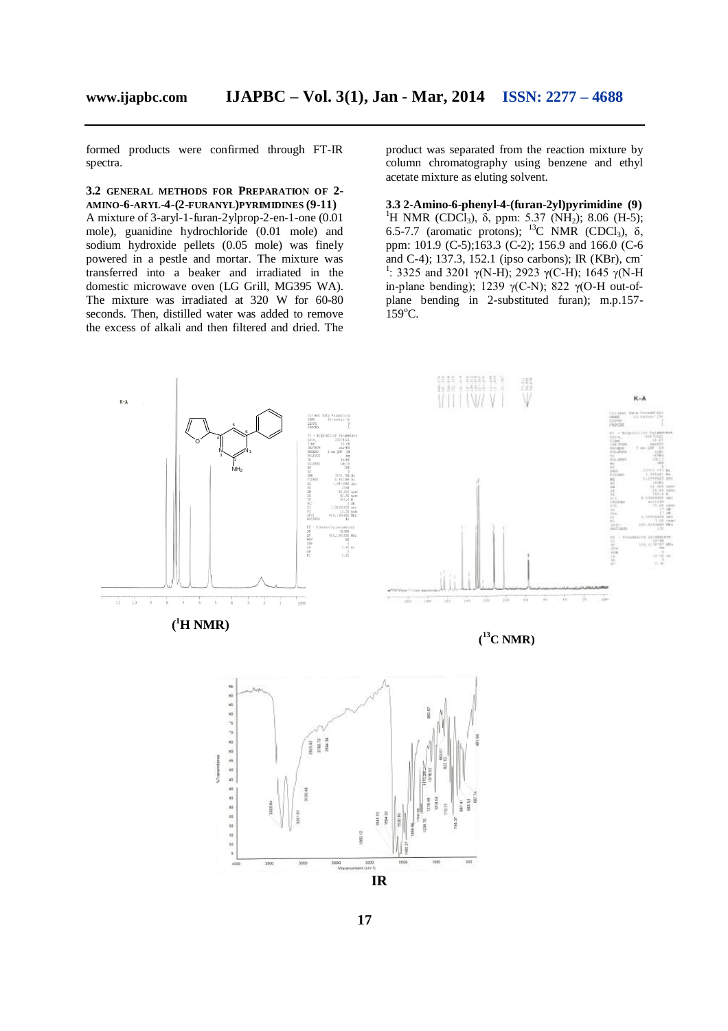formed products were confirmed through FT-IR spectra.

**3.2 GENERAL METHODS FOR PREPARATION OF 2- AMINO-6-ARYL-4-(2-FURANYL)PYRIMIDINES (9-11)** A mixture of 3-aryl-1-furan-2ylprop-2-en-1-one (0.01 mole), guanidine hydrochloride (0.01 mole) and sodium hydroxide pellets (0.05 mole) was finely powered in a pestle and mortar. The mixture was transferred into a beaker and irradiated in the domestic microwave oven (LG Grill, MG395 WA). The mixture was irradiated at 320 W for 60-80 seconds. Then, distilled water was added to remove the excess of alkali and then filtered and dried. The

product was separated from the reaction mixture by column chromatography using benzene and ethyl acetate mixture as eluting solvent.

**3.3 2-Amino-6-phenyl-4-(furan-2yl)pyrimidine (9)** <sup>1</sup>H NMR (CDCl<sub>3</sub>),  $\delta$ , ppm: 5.37 (NH<sub>2</sub>); 8.06 (H-5); 6.5-7.7 (aromatic protons);  $^{13}$ C NMR (CDCl<sub>3</sub>),  $\delta$ , ppm: 101.9 (C-5);163.3 (C-2); 156.9 and 166.0 (C-6) and C-4); 137.3, 152.1 (ipso carbons); IR (KBr), cm-<sup>1</sup>: 3325 and 3201 γ(N-H); 2923 γ(C-H); 1645 γ(N-H in-plane bending); 1239  $\gamma$ (C-N); 822  $\gamma$ (O-H out-ofplane bending in 2-substituted furan); m.p.157-  $159^{\circ}$ C.

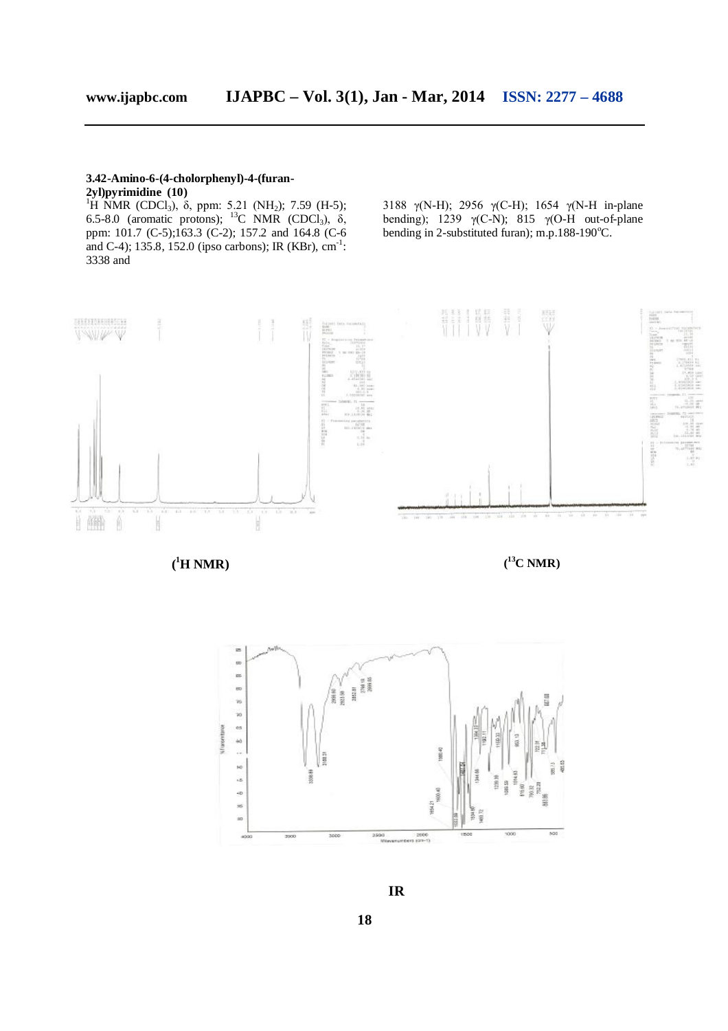## **3.42-Amino-6-(4-cholorphenyl)-4-(furan-**

**2yl)pyrimidine (10)**

<sup>1</sup>H NMR (CDCl<sub>3</sub>), δ, ppm: 5.21 (NH<sub>2</sub>); 7.59 (H-5); 6.5-8.0 (aromatic protons); <sup>13</sup>C NMR (CDCl<sub>3</sub>), δ, ppm: 101.7 (C-5);163.3 (C-2); 157.2 and 164.8 (C-6 and C-4); 135.8, 152.0 (ipso carbons); IR (KBr),  $cm^{-1}$ : 3338 and

3188 γ(N-H); 2956 γ(C-H); 1654 γ(N-H in-plane bending); 1239  $\gamma$ (C-N); 815  $\gamma$ (O-H out-of-plane bending in 2-substituted furan); m.p.188-190°C.



**( <sup>1</sup>H NMR) (**

**<sup>13</sup>C NMR)**

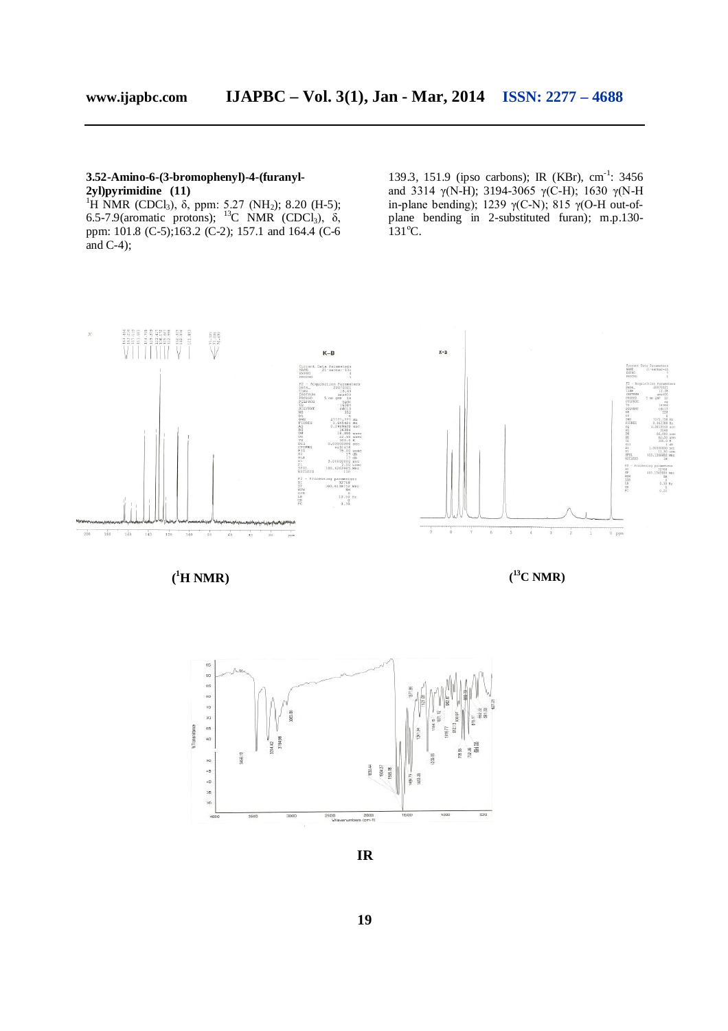## **3.52-Amino-6-(3-bromophenyl)-4-(furanyl-2yl)pyrimidine (11)**

<sup>1</sup>H NMR (CDCl<sub>3</sub>), δ, ppm: 5.27 (NH<sub>2</sub>); 8.20 (H-5); 6.5-7.9(aromatic protons); <sup>13</sup>C NMR (CDCl<sub>3</sub>),  $\delta$ , ppm: 101.8 (C-5);163.2 (C-2); 157.1 and 164.4 (C-6 and  $C-4$ );

139.3, 151.9 (ipso carbons); IR (KBr), cm<sup>-1</sup>: 3456 and 3314 γ(N-H); 3194-3065 γ(C-H); 1630 γ(N-H in-plane bending); 1239  $γ$ (C-N); 815  $γ$ (O-H out-ofplane bending in 2-substituted furan); m.p.130-  $131^{\circ}$ C.



**( <sup>1</sup>H NMR) (**

**<sup>13</sup>C NMR)**



*IR*